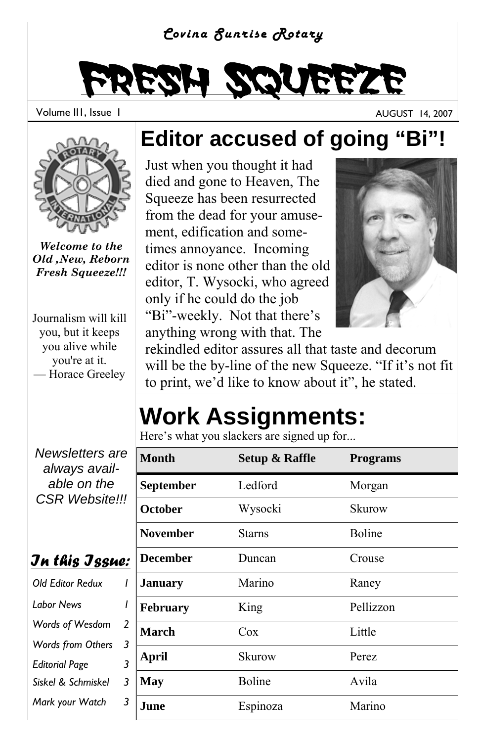#### *Covina Sunrise Rotary*

# Fresh Squeeze

Volume III, Issue I AUGUST 14, 2007



*Welcome to the Old ,New, Reborn Fresh Squeeze!!!*

Journalism will kill you, but it keeps you alive while you're at it. — Horace Greeley

**Editor accused of going "Bi"!** 

Just when you thought it had died and gone to Heaven, The Squeeze has been resurrected from the dead for your amusement, edification and sometimes annoyance. Incoming editor is none other than the old editor, T. Wysocki, who agreed only if he could do the job "Bi"-weekly. Not that there's anything wrong with that. The



rekindled editor assures all that taste and decorum will be the by-line of the new Squeeze. "If it's not fit to print, we'd like to know about it", he stated.

# **Work Assignments:**

Here's what you slackers are signed up for...

| e                   | <b>Month</b>    | <b>Setup &amp; Raffle</b> | <b>Programs</b> |
|---------------------|-----------------|---------------------------|-----------------|
|                     | September       | Ledford                   | Morgan          |
| !!                  | October         | Wysocki                   | Skurow          |
|                     | <b>November</b> | <b>Starns</b>             | <b>Boline</b>   |
| e:                  | <b>December</b> | Duncan                    | Crouse          |
| I                   | <b>January</b>  | Marino                    | Raney           |
| ı                   | February        | King                      | Pellizzon       |
| $\overline{2}$<br>3 | <b>March</b>    | $\cos$                    | Little          |
| 3                   | April           | Skurow                    | Perez           |
| 3                   | <b>May</b>      | Boline                    | Avila           |
| 3                   | June            | Espinoza                  | Marino          |

*Newsletters are always available on the CSR Website!!!* 

|  | Jn this Jssue: |  |
|--|----------------|--|
|  |                |  |

| <b>Old Editor Redux</b>  |   |  |
|--------------------------|---|--|
| <b>Labor News</b>        |   |  |
| Words of Wesdom          | 2 |  |
| <b>Words from Others</b> | 3 |  |
| <b>Editorial Page</b>    |   |  |
| Siskel & Schmiskel       | 3 |  |
| Mark your Watch          |   |  |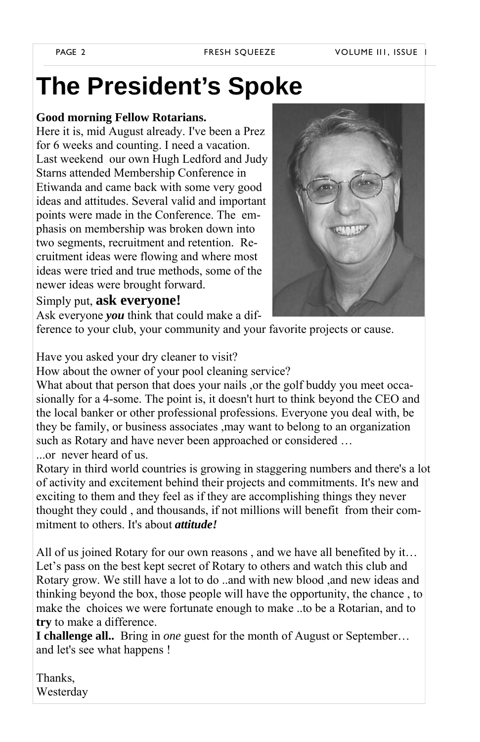#### **The President's Spoke**

#### **Good morning Fellow Rotarians.**

Here it is, mid August already. I've been a Prez for 6 weeks and counting. I need a vacation. Last weekend our own Hugh Ledford and Judy Starns attended Membership Conference in Etiwanda and came back with some very good ideas and attitudes. Several valid and important points were made in the Conference. The emphasis on membership was broken down into two segments, recruitment and retention. Recruitment ideas were flowing and where most ideas were tried and true methods, some of the newer ideas were brought forward.



Simply put, **ask everyone!**

Ask everyone *you* think that could make a dif-

ference to your club, your community and your favorite projects or cause.

#### Have you asked your dry cleaner to visit?

How about the owner of your pool cleaning service?

What about that person that does your nails, or the golf buddy you meet occasionally for a 4-some. The point is, it doesn't hurt to think beyond the CEO and the local banker or other professional professions. Everyone you deal with, be they be family, or business associates ,may want to belong to an organization such as Rotary and have never been approached or considered … or never heard of us.

Rotary in third world countries is growing in staggering numbers and there's a lot of activity and excitement behind their projects and commitments. It's new and exciting to them and they feel as if they are accomplishing things they never thought they could , and thousands, if not millions will benefit from their commitment to others. It's about *attitude!* 

All of us joined Rotary for our own reasons , and we have all benefited by it… Let's pass on the best kept secret of Rotary to others and watch this club and Rotary grow. We still have a lot to do ..and with new blood ,and new ideas and thinking beyond the box, those people will have the opportunity, the chance , to make the choices we were fortunate enough to make ..to be a Rotarian, and to **try** to make a difference.

**I challenge all..** Bring in *one* guest for the month of August or September… and let's see what happens !

Thanks, Westerday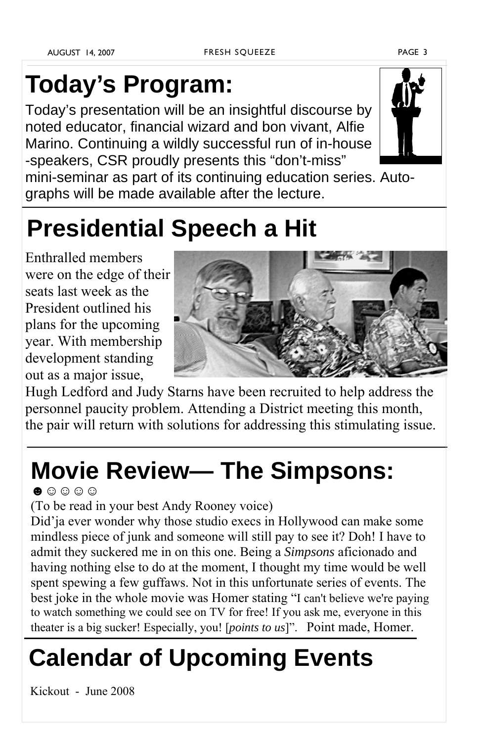## **Today's Program:**

Today's presentation will be an insightful discourse by noted educator, financial wizard and bon vivant, Alfie Marino. Continuing a wildly successful run of in-house -speakers, CSR proudly presents this "don't-miss"



mini-seminar as part of its continuing education series. Autographs will be made available after the lecture.

### **Presidential Speech a Hit**

Enthralled members were on the edge of their seats last week as the President outlined his plans for the upcoming year. With membership development standing out as a major issue,



Hugh Ledford and Judy Starns have been recruited to help address the personnel paucity problem. Attending a District meeting this month, the pair will return with solutions for addressing this stimulating issue.

### **Movie Review— The Simpsons:**

 $\bullet$ .  $\circ$   $\circ$   $\circ$ 

(To be read in your best Andy Rooney voice)

Did'ja ever wonder why those studio execs in Hollywood can make some mindless piece of junk and someone will still pay to see it? Doh! I have to admit they suckered me in on this one. Being a *Simpsons* aficionado and having nothing else to do at the moment, I thought my time would be well spent spewing a few guffaws. Not in this unfortunate series of events. The best joke in the whole movie was Homer stating "I can't believe we're paying to watch something we could see on TV for free! If you ask me, everyone in this theater is a big sucker! Especially, you! [*points to us*]". Point made, Homer.

## **Calendar of Upcoming Events**

Kickout - June 2008